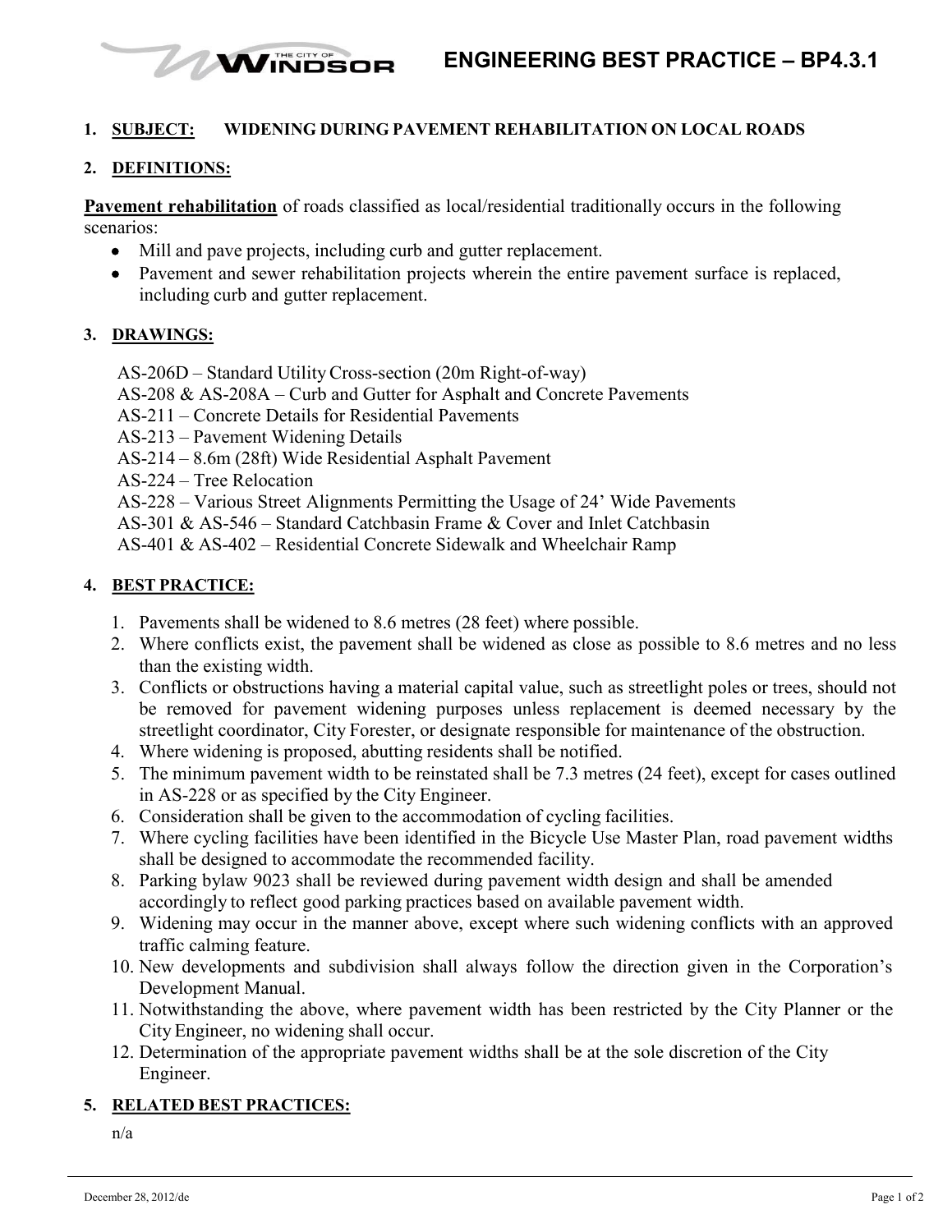

#### **1. SUBJECT: WIDENING DURING PAVEMENT REHABILITATION ON LOCAL ROADS**

#### **2. DEFINITIONS:**

**Pavement rehabilitation** of roads classified as local/residential traditionally occurs in the following scenarios:

- Mill and pave projects, including curb and gutter replacement.
- Pavement and sewer rehabilitation projects wherein the entire pavement surface is replaced, including curb and gutter replacement.

#### **3. DRAWINGS:**

AS-206D – Standard UtilityCross-section (20m Right-of-way)

- AS-208 & AS-208A Curb and Gutter for Asphalt and Concrete Pavements
- AS-211 Concrete Details for Residential Pavements
- AS-213 Pavement Widening Details
- AS-214 8.6m (28ft) Wide Residential Asphalt Pavement
- AS-224 Tree Relocation
- AS-228 Various Street Alignments Permitting the Usage of 24' Wide Pavements
- AS-301 & AS-546 Standard Catchbasin Frame & Cover and Inlet Catchbasin
- AS-401 & AS-402 Residential Concrete Sidewalk and Wheelchair Ramp

# **4. BEST PRACTICE:**

- 1. Pavements shall be widened to 8.6 metres (28 feet) where possible.
- 2. Where conflicts exist, the pavement shall be widened as close as possible to 8.6 metres and no less than the existing width.
- 3. Conflicts or obstructions having a material capital value, such as streetlight poles or trees, should not be removed for pavement widening purposes unless replacement is deemed necessary by the streetlight coordinator, City Forester, or designate responsible for maintenance of the obstruction.
- 4. Where widening is proposed, abutting residents shall be notified.
- 5. The minimum pavement width to be reinstated shall be 7.3 metres (24 feet), except for cases outlined in AS-228 or as specified by the City Engineer.
- 6. Consideration shall be given to the accommodation of cycling facilities.
- 7. Where cycling facilities have been identified in the Bicycle Use Master Plan, road pavement widths shall be designed to accommodate the recommended facility.
- 8. Parking bylaw 9023 shall be reviewed during pavement width design and shall be amended accordingly to reflect good parking practices based on available pavement width.
- 9. Widening may occur in the manner above, except where such widening conflicts with an approved traffic calming feature.
- 10. New developments and subdivision shall always follow the direction given in the Corporation's Development Manual.
- 11. Notwithstanding the above, where pavement width has been restricted by the City Planner or the City Engineer, no widening shall occur.
- 12. Determination of the appropriate pavement widths shall be at the sole discretion of the City Engineer.

# **5. RELATED BEST PRACTICES:**

n/a